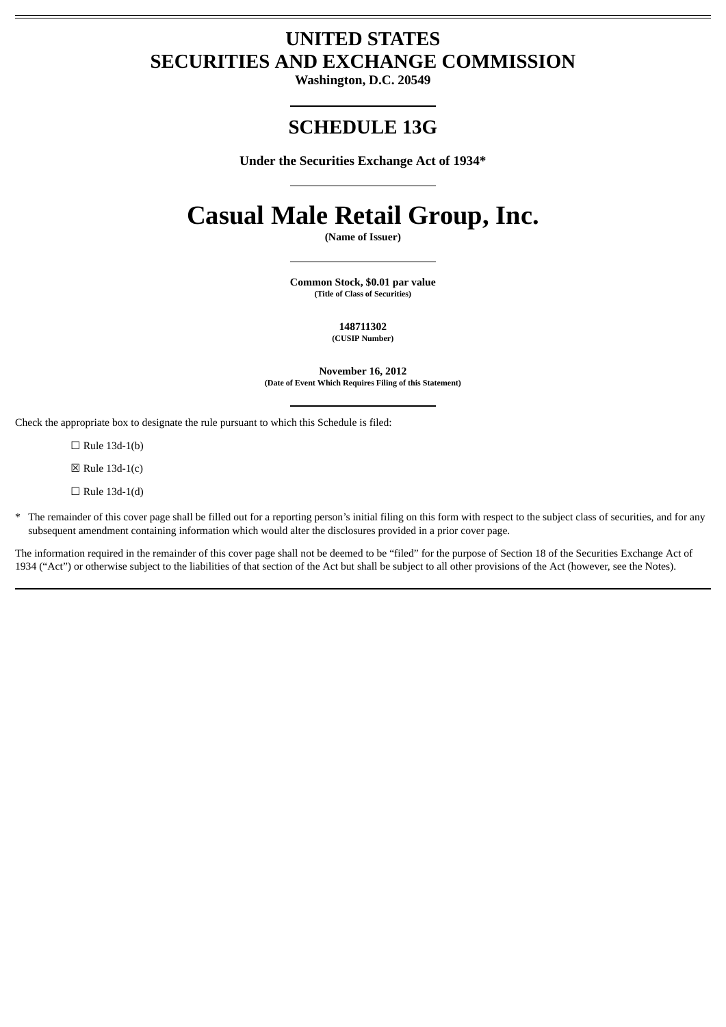# **UNITED STATES SECURITIES AND EXCHANGE COMMISSION**

**Washington, D.C. 20549**

# **SCHEDULE 13G**

**Under the Securities Exchange Act of 1934\***

# **Casual Male Retail Group, Inc.**

**(Name of Issuer)**

**Common Stock, \$0.01 par value (Title of Class of Securities)**

> **148711302 (CUSIP Number)**

**November 16, 2012 (Date of Event Which Requires Filing of this Statement)**

Check the appropriate box to designate the rule pursuant to which this Schedule is filed:

 $\Box$  Rule 13d-1(b)

 $\boxtimes$  Rule 13d-1(c)

 $\Box$  Rule 13d-1(d)

\* The remainder of this cover page shall be filled out for a reporting person's initial filing on this form with respect to the subject class of securities, and for any subsequent amendment containing information which would alter the disclosures provided in a prior cover page.

The information required in the remainder of this cover page shall not be deemed to be "filed" for the purpose of Section 18 of the Securities Exchange Act of 1934 ("Act") or otherwise subject to the liabilities of that section of the Act but shall be subject to all other provisions of the Act (however, see the Notes).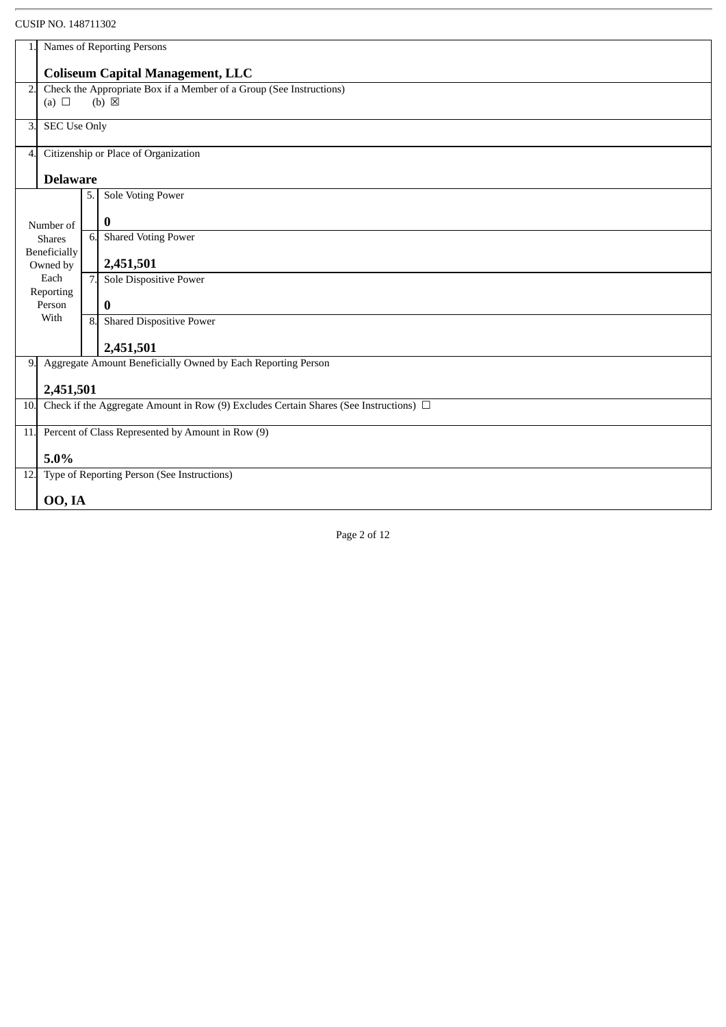|     | <b>UUUII INU. 140/11JUZ</b>                                                                |                  |                                                              |  |
|-----|--------------------------------------------------------------------------------------------|------------------|--------------------------------------------------------------|--|
|     | Names of Reporting Persons                                                                 |                  |                                                              |  |
|     | <b>Coliseum Capital Management, LLC</b>                                                    |                  |                                                              |  |
| 2.  | Check the Appropriate Box if a Member of a Group (See Instructions)                        |                  |                                                              |  |
|     | (a) $\Box$                                                                                 |                  | $(b) \boxtimes$                                              |  |
| 3.  | <b>SEC Use Only</b>                                                                        |                  |                                                              |  |
| 4   |                                                                                            |                  | Citizenship or Place of Organization                         |  |
|     | <b>Delaware</b>                                                                            |                  |                                                              |  |
|     |                                                                                            | 5.               | Sole Voting Power                                            |  |
|     | Number of                                                                                  |                  | 0                                                            |  |
|     | <b>Shares</b>                                                                              | 6.               | <b>Shared Voting Power</b>                                   |  |
|     | Beneficially<br>Owned by                                                                   |                  | 2,451,501                                                    |  |
|     | Each<br>Reporting                                                                          | 7.               | Sole Dispositive Power                                       |  |
|     | Person                                                                                     |                  | $\bf{0}$                                                     |  |
|     | With                                                                                       | $\overline{8}$ . | <b>Shared Dispositive Power</b>                              |  |
|     |                                                                                            |                  | 2,451,501                                                    |  |
| 9.  |                                                                                            |                  | Aggregate Amount Beneficially Owned by Each Reporting Person |  |
|     | 2,451,501                                                                                  |                  |                                                              |  |
| 10  | Check if the Aggregate Amount in Row (9) Excludes Certain Shares (See Instructions) $\Box$ |                  |                                                              |  |
| 11. | Percent of Class Represented by Amount in Row (9)                                          |                  |                                                              |  |
|     | 5.0%                                                                                       |                  |                                                              |  |
| 12. |                                                                                            |                  | Type of Reporting Person (See Instructions)                  |  |
|     | 00, IA                                                                                     |                  |                                                              |  |
|     |                                                                                            |                  |                                                              |  |

Page 2 of 12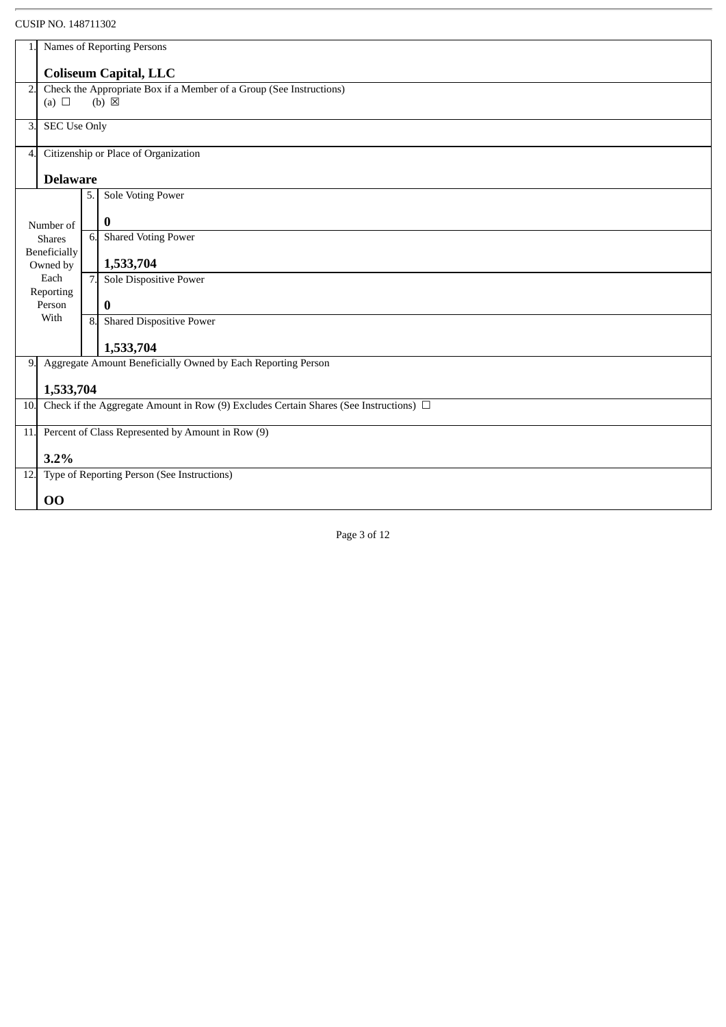| OUJIL INU. ITU/ILJUZ                 |                                                                                                         |                                                                 |  |  |  |
|--------------------------------------|---------------------------------------------------------------------------------------------------------|-----------------------------------------------------------------|--|--|--|
| 1.1                                  | Names of Reporting Persons                                                                              |                                                                 |  |  |  |
|                                      | <b>Coliseum Capital, LLC</b>                                                                            |                                                                 |  |  |  |
| 2.                                   | Check the Appropriate Box if a Member of a Group (See Instructions)                                     |                                                                 |  |  |  |
| (a) $\Box$                           |                                                                                                         | $(b) \boxtimes$                                                 |  |  |  |
| <b>SEC Use Only</b><br>З.            |                                                                                                         |                                                                 |  |  |  |
|                                      |                                                                                                         |                                                                 |  |  |  |
| $\overline{4}$ .                     |                                                                                                         | Citizenship or Place of Organization                            |  |  |  |
|                                      |                                                                                                         |                                                                 |  |  |  |
| <b>Delaware</b>                      |                                                                                                         |                                                                 |  |  |  |
|                                      | 5.                                                                                                      | Sole Voting Power                                               |  |  |  |
|                                      |                                                                                                         | $\bf{0}$                                                        |  |  |  |
| Number of                            | 6.                                                                                                      | <b>Shared Voting Power</b>                                      |  |  |  |
| <b>Shares</b><br><b>Beneficially</b> |                                                                                                         |                                                                 |  |  |  |
| Owned by                             |                                                                                                         | 1,533,704                                                       |  |  |  |
| Each                                 | 7.                                                                                                      | Sole Dispositive Power                                          |  |  |  |
| Reporting                            |                                                                                                         |                                                                 |  |  |  |
| Person<br>With                       |                                                                                                         | $\bf{0}$                                                        |  |  |  |
|                                      | 8.                                                                                                      | <b>Shared Dispositive Power</b>                                 |  |  |  |
|                                      |                                                                                                         | 1,533,704                                                       |  |  |  |
|                                      |                                                                                                         | 9. Aggregate Amount Beneficially Owned by Each Reporting Person |  |  |  |
|                                      |                                                                                                         |                                                                 |  |  |  |
| <b>10.</b>                           | 1,533,704<br>Check if the Aggregate Amount in Row (9) Excludes Certain Shares (See Instructions) $\Box$ |                                                                 |  |  |  |
|                                      |                                                                                                         |                                                                 |  |  |  |
|                                      | 11. Percent of Class Represented by Amount in Row (9)                                                   |                                                                 |  |  |  |
|                                      | 3.2%                                                                                                    |                                                                 |  |  |  |
|                                      | 12. Type of Reporting Person (See Instructions)                                                         |                                                                 |  |  |  |
|                                      |                                                                                                         |                                                                 |  |  |  |
| 00                                   |                                                                                                         |                                                                 |  |  |  |
|                                      |                                                                                                         |                                                                 |  |  |  |

Page 3 of 12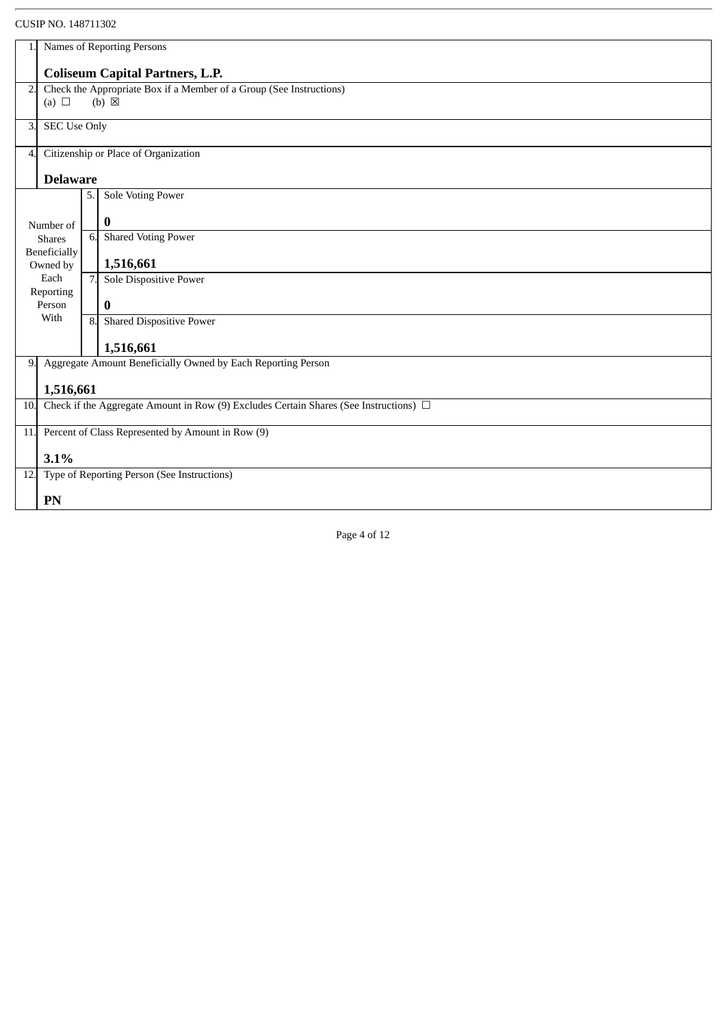|     | Names of Reporting Persons                                                                 |    |                                                                 |  |  |
|-----|--------------------------------------------------------------------------------------------|----|-----------------------------------------------------------------|--|--|
|     | <b>Coliseum Capital Partners, L.P.</b>                                                     |    |                                                                 |  |  |
| 2.  | Check the Appropriate Box if a Member of a Group (See Instructions)                        |    |                                                                 |  |  |
|     | (a) $\Box$                                                                                 |    | $(b) \boxtimes$                                                 |  |  |
| 3.  | <b>SEC Use Only</b>                                                                        |    |                                                                 |  |  |
| 4   |                                                                                            |    | Citizenship or Place of Organization                            |  |  |
|     | <b>Delaware</b>                                                                            |    |                                                                 |  |  |
|     |                                                                                            | 5. | <b>Sole Voting Power</b>                                        |  |  |
|     | Number of                                                                                  |    | 0                                                               |  |  |
|     | <b>Shares</b>                                                                              | 6. | <b>Shared Voting Power</b>                                      |  |  |
|     | <b>Beneficially</b><br>Owned by                                                            |    | 1,516,661                                                       |  |  |
|     | Each                                                                                       | 7. | Sole Dispositive Power                                          |  |  |
|     | Reporting<br>Person                                                                        |    | $\bf{0}$                                                        |  |  |
|     | With                                                                                       | 8. | <b>Shared Dispositive Power</b>                                 |  |  |
|     |                                                                                            |    | 1,516,661                                                       |  |  |
|     |                                                                                            |    | 9. Aggregate Amount Beneficially Owned by Each Reporting Person |  |  |
|     | 1,516,661                                                                                  |    |                                                                 |  |  |
| 10. | Check if the Aggregate Amount in Row (9) Excludes Certain Shares (See Instructions) $\Box$ |    |                                                                 |  |  |
|     | 11. Percent of Class Represented by Amount in Row (9)                                      |    |                                                                 |  |  |
|     | 3.1%                                                                                       |    |                                                                 |  |  |
|     |                                                                                            |    | 12. Type of Reporting Person (See Instructions)                 |  |  |
|     | PN                                                                                         |    |                                                                 |  |  |
|     |                                                                                            |    |                                                                 |  |  |

Page 4 of 12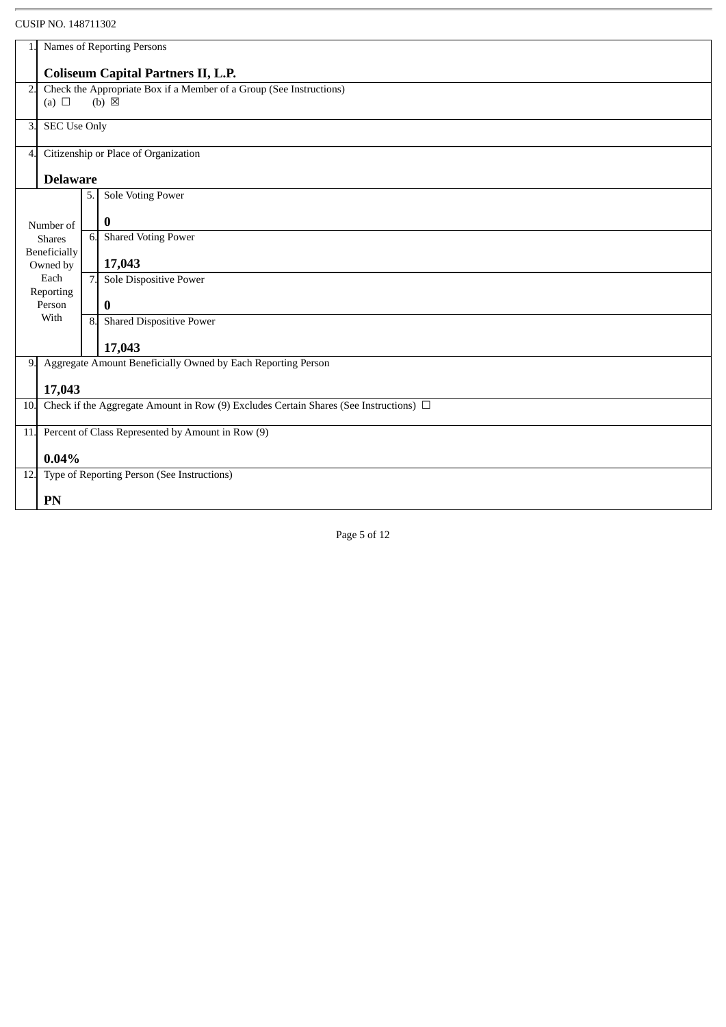|     | <b>COOIF INO. 140/11002</b>                                                                |                                                              |  |  |
|-----|--------------------------------------------------------------------------------------------|--------------------------------------------------------------|--|--|
|     | Names of Reporting Persons                                                                 |                                                              |  |  |
|     | <b>Coliseum Capital Partners II, L.P.</b>                                                  |                                                              |  |  |
| 2.  | Check the Appropriate Box if a Member of a Group (See Instructions)                        |                                                              |  |  |
|     | (a) $\Box$                                                                                 | $(b) \boxtimes$                                              |  |  |
| 3   | <b>SEC Use Only</b>                                                                        |                                                              |  |  |
| 4   |                                                                                            | Citizenship or Place of Organization                         |  |  |
|     | <b>Delaware</b>                                                                            |                                                              |  |  |
|     |                                                                                            | Sole Voting Power<br>5.                                      |  |  |
|     | Number of                                                                                  | 0                                                            |  |  |
|     | <b>Shares</b>                                                                              | <b>Shared Voting Power</b><br>6.                             |  |  |
|     | Beneficially<br>Owned by                                                                   | 17,043                                                       |  |  |
|     | Each<br>Reporting                                                                          | Sole Dispositive Power<br>7.                                 |  |  |
|     | Person                                                                                     | $\bf{0}$                                                     |  |  |
|     | With                                                                                       | <b>Shared Dispositive Power</b><br>8.                        |  |  |
|     |                                                                                            | 17,043                                                       |  |  |
| 9.  |                                                                                            | Aggregate Amount Beneficially Owned by Each Reporting Person |  |  |
|     | 17,043                                                                                     |                                                              |  |  |
| 10. | Check if the Aggregate Amount in Row (9) Excludes Certain Shares (See Instructions) $\Box$ |                                                              |  |  |
| 11. | Percent of Class Represented by Amount in Row (9)                                          |                                                              |  |  |
|     | 0.04%                                                                                      |                                                              |  |  |
|     |                                                                                            | 12. Type of Reporting Person (See Instructions)              |  |  |
|     | PN                                                                                         |                                                              |  |  |
|     |                                                                                            |                                                              |  |  |

Page 5 of 12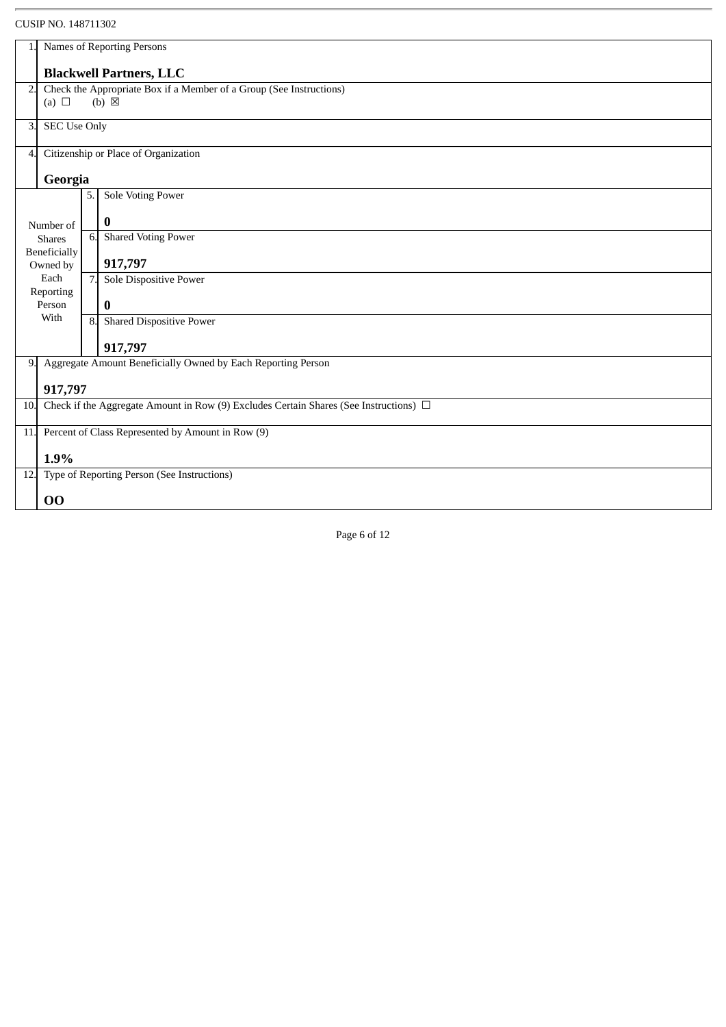|                                               | Names of Reporting Persons                                                                 |    |                                                              |  |  |
|-----------------------------------------------|--------------------------------------------------------------------------------------------|----|--------------------------------------------------------------|--|--|
|                                               | <b>Blackwell Partners, LLC</b>                                                             |    |                                                              |  |  |
| 2.                                            | Check the Appropriate Box if a Member of a Group (See Instructions)                        |    |                                                              |  |  |
|                                               | (a) $\Box$                                                                                 |    | $(b) \boxtimes$                                              |  |  |
| З.                                            | <b>SEC Use Only</b>                                                                        |    |                                                              |  |  |
| 4.                                            |                                                                                            |    | Citizenship or Place of Organization                         |  |  |
|                                               | Georgia                                                                                    |    |                                                              |  |  |
|                                               |                                                                                            | 5. | Sole Voting Power                                            |  |  |
|                                               | Number of                                                                                  |    | 0                                                            |  |  |
|                                               | <b>Shares</b>                                                                              | 6. | <b>Shared Voting Power</b>                                   |  |  |
|                                               | Beneficially<br>Owned by                                                                   |    | 917,797                                                      |  |  |
|                                               | Each                                                                                       | 7. | Sole Dispositive Power                                       |  |  |
|                                               | Reporting<br>Person                                                                        |    | $\bf{0}$                                                     |  |  |
| With<br>8.<br><b>Shared Dispositive Power</b> |                                                                                            |    |                                                              |  |  |
|                                               |                                                                                            |    | 917,797                                                      |  |  |
| 9.                                            |                                                                                            |    | Aggregate Amount Beneficially Owned by Each Reporting Person |  |  |
|                                               | 917,797                                                                                    |    |                                                              |  |  |
| 10.                                           | Check if the Aggregate Amount in Row (9) Excludes Certain Shares (See Instructions) $\Box$ |    |                                                              |  |  |
|                                               | 11. Percent of Class Represented by Amount in Row (9)                                      |    |                                                              |  |  |
|                                               | 1.9%                                                                                       |    |                                                              |  |  |
| 12.                                           |                                                                                            |    | Type of Reporting Person (See Instructions)                  |  |  |
|                                               | 00                                                                                         |    |                                                              |  |  |

Page 6 of 12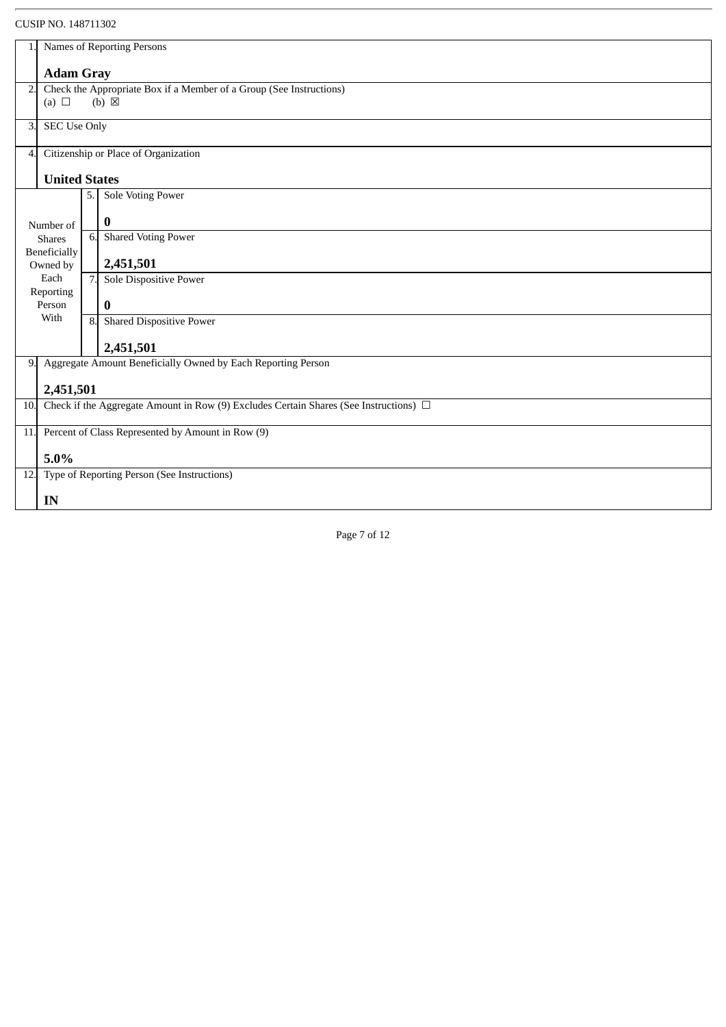|     |                                                                                            | COSII ITO. 1707 11902 |                                                              |  |  |
|-----|--------------------------------------------------------------------------------------------|-----------------------|--------------------------------------------------------------|--|--|
|     | Names of Reporting Persons                                                                 |                       |                                                              |  |  |
|     | <b>Adam Gray</b>                                                                           |                       |                                                              |  |  |
| 2.  | Check the Appropriate Box if a Member of a Group (See Instructions)                        |                       |                                                              |  |  |
|     | (a) $\Box$                                                                                 |                       | $(b) \boxtimes$                                              |  |  |
| 3.  | <b>SEC Use Only</b>                                                                        |                       |                                                              |  |  |
| 4   |                                                                                            |                       | Citizenship or Place of Organization                         |  |  |
|     | <b>United States</b>                                                                       |                       |                                                              |  |  |
|     |                                                                                            | 5.                    | Sole Voting Power                                            |  |  |
|     | Number of                                                                                  |                       | $\bf{0}$                                                     |  |  |
|     | <b>Shares</b>                                                                              | 6.                    | <b>Shared Voting Power</b>                                   |  |  |
|     | Beneficially<br>Owned by                                                                   |                       | 2,451,501                                                    |  |  |
|     | Each<br>Reporting                                                                          | 7.                    | Sole Dispositive Power                                       |  |  |
|     | Person                                                                                     |                       | $\bf{0}$                                                     |  |  |
|     | With                                                                                       | 8.                    | <b>Shared Dispositive Power</b>                              |  |  |
|     |                                                                                            |                       | 2,451,501                                                    |  |  |
| 9.  |                                                                                            |                       | Aggregate Amount Beneficially Owned by Each Reporting Person |  |  |
|     | 2,451,501                                                                                  |                       |                                                              |  |  |
| 10. | Check if the Aggregate Amount in Row (9) Excludes Certain Shares (See Instructions) $\Box$ |                       |                                                              |  |  |
| 11. | Percent of Class Represented by Amount in Row (9)                                          |                       |                                                              |  |  |
|     | 5.0%                                                                                       |                       |                                                              |  |  |
| 12. | Type of Reporting Person (See Instructions)                                                |                       |                                                              |  |  |
|     | IN                                                                                         |                       |                                                              |  |  |
|     |                                                                                            |                       |                                                              |  |  |

Page 7 of 12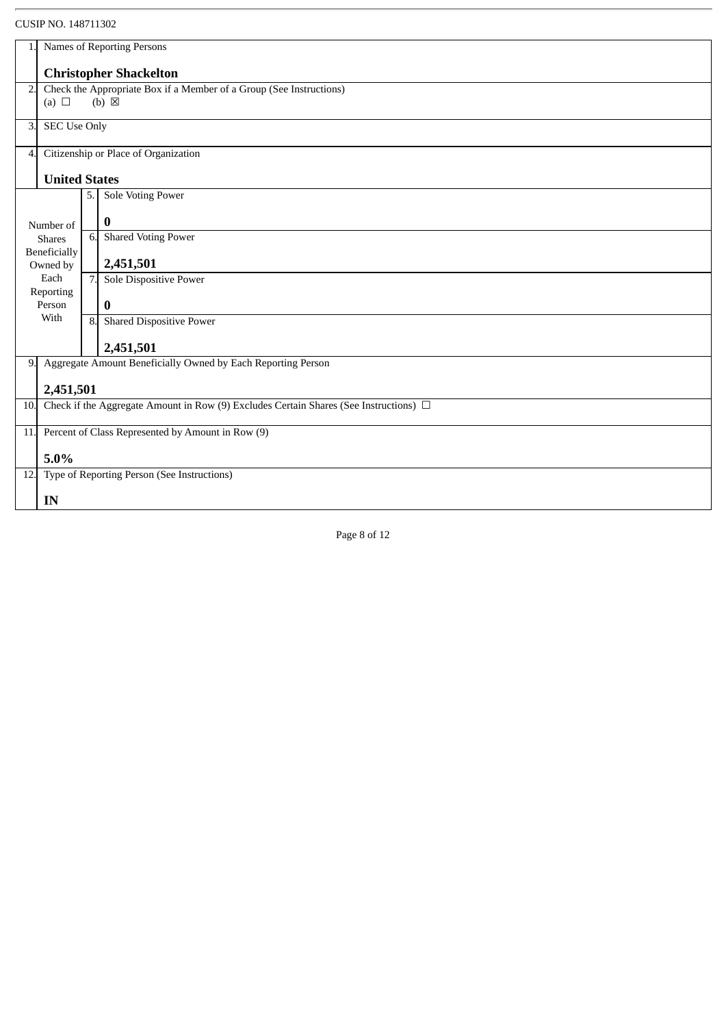|     | Names of Reporting Persons                                                                 |    |                                                                 |  |  |
|-----|--------------------------------------------------------------------------------------------|----|-----------------------------------------------------------------|--|--|
|     | <b>Christopher Shackelton</b>                                                              |    |                                                                 |  |  |
| 2.  | Check the Appropriate Box if a Member of a Group (See Instructions)                        |    |                                                                 |  |  |
|     | (a) $\Box$                                                                                 |    | $(b) \boxtimes$                                                 |  |  |
| 3.  | <b>SEC Use Only</b>                                                                        |    |                                                                 |  |  |
| 4   |                                                                                            |    | Citizenship or Place of Organization                            |  |  |
|     | <b>United States</b>                                                                       |    |                                                                 |  |  |
|     |                                                                                            | 5. | <b>Sole Voting Power</b>                                        |  |  |
|     | Number of                                                                                  |    | 0                                                               |  |  |
|     | <b>Shares</b>                                                                              | 6. | <b>Shared Voting Power</b>                                      |  |  |
|     | Beneficially<br>Owned by                                                                   |    | 2,451,501                                                       |  |  |
|     | Each                                                                                       | 7. | Sole Dispositive Power                                          |  |  |
|     | Reporting<br>Person                                                                        |    | $\bf{0}$                                                        |  |  |
|     | With                                                                                       |    | <b>Shared Dispositive Power</b>                                 |  |  |
|     |                                                                                            |    | 2,451,501                                                       |  |  |
|     |                                                                                            |    | 9. Aggregate Amount Beneficially Owned by Each Reporting Person |  |  |
|     | 2,451,501                                                                                  |    |                                                                 |  |  |
| 10. | Check if the Aggregate Amount in Row (9) Excludes Certain Shares (See Instructions) $\Box$ |    |                                                                 |  |  |
|     | 11. Percent of Class Represented by Amount in Row (9)                                      |    |                                                                 |  |  |
|     | 5.0%                                                                                       |    |                                                                 |  |  |
|     |                                                                                            |    | 12. Type of Reporting Person (See Instructions)                 |  |  |
|     | IN                                                                                         |    |                                                                 |  |  |
|     |                                                                                            |    |                                                                 |  |  |

Page 8 of 12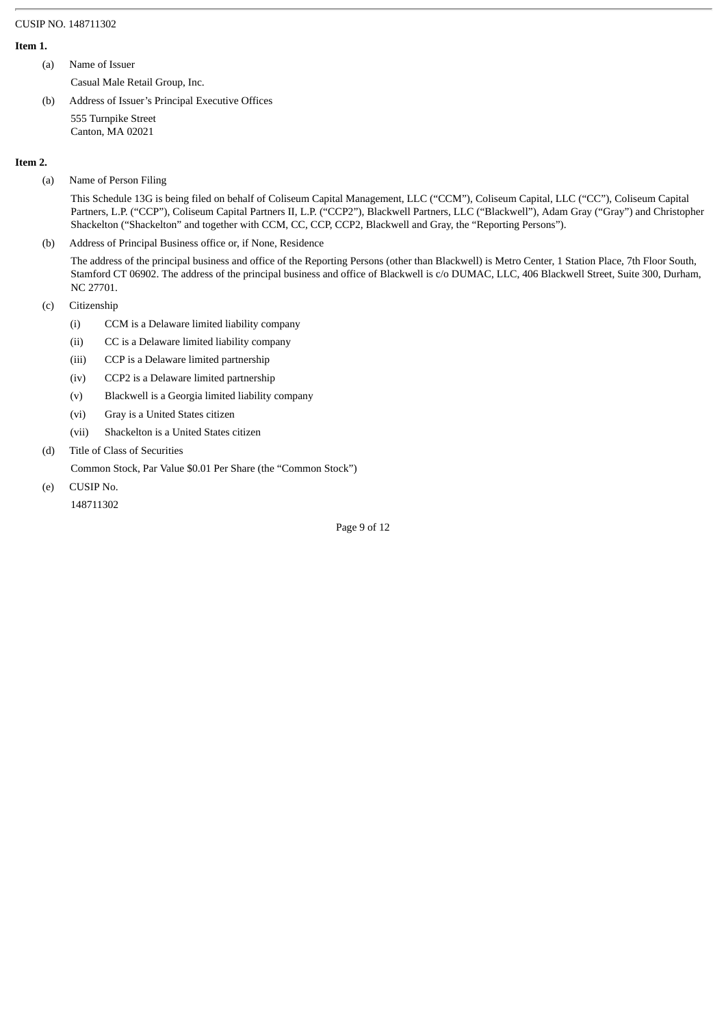#### **Item 1.**

- (a) Name of Issuer
	- Casual Male Retail Group, Inc.
- (b) Address of Issuer's Principal Executive Offices 555 Turnpike Street Canton, MA 02021

#### **Item 2.**

(a) Name of Person Filing

This Schedule 13G is being filed on behalf of Coliseum Capital Management, LLC ("CCM"), Coliseum Capital, LLC ("CC"), Coliseum Capital Partners, L.P. ("CCP"), Coliseum Capital Partners II, L.P. ("CCP2"), Blackwell Partners, LLC ("Blackwell"), Adam Gray ("Gray") and Christopher Shackelton ("Shackelton" and together with CCM, CC, CCP, CCP2, Blackwell and Gray, the "Reporting Persons").

(b) Address of Principal Business office or, if None, Residence

The address of the principal business and office of the Reporting Persons (other than Blackwell) is Metro Center, 1 Station Place, 7th Floor South, Stamford CT 06902. The address of the principal business and office of Blackwell is c/o DUMAC, LLC, 406 Blackwell Street, Suite 300, Durham, NC 27701.

- (c) Citizenship
	- (i) CCM is a Delaware limited liability company
	- (ii) CC is a Delaware limited liability company
	- (iii) CCP is a Delaware limited partnership
	- (iv) CCP2 is a Delaware limited partnership
	- (v) Blackwell is a Georgia limited liability company
	- (vi) Gray is a United States citizen
	- (vii) Shackelton is a United States citizen
- (d) Title of Class of Securities
- Common Stock, Par Value \$0.01 Per Share (the "Common Stock")
- (e) CUSIP No.

148711302

Page 9 of 12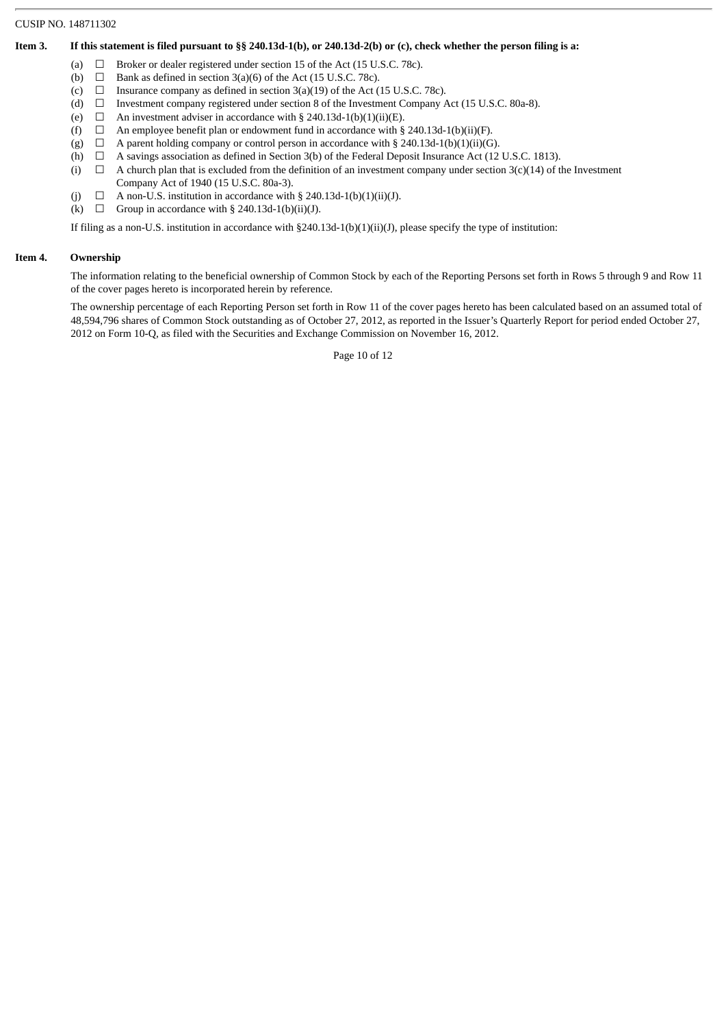#### **Item 3. If this statement is filed pursuant to §§ 240.13d-1(b), or 240.13d-2(b) or (c), check whether the person filing is a:**

- (a)  $\Box$  Broker or dealer registered under section 15 of the Act (15 U.S.C. 78c).
- (b)  $\Box$  Bank as defined in section 3(a)(6) of the Act (15 U.S.C. 78c).
- (c)  $\Box$  Insurance company as defined in section 3(a)(19) of the Act (15 U.S.C. 78c).<br>(d)  $\Box$  Investment company registered under section 8 of the Investment Company *l*
- (d)  $\Box$  Investment company registered under section 8 of the Investment Company Act (15 U.S.C. 80a-8).<br>(e)  $\Box$  An investment adviser in accordance with § 240.13d-1(b)(1)(ii)(E).
- □ An investment adviser in accordance with § 240.13d-1(b)(1)(ii)(E). □ An employee benefit plan or endowment fund in accordance with §
- (f)  $\Box$  An employee benefit plan or endowment fund in accordance with § 240.13d-1(b)(ii)(F).
- (g)  $\Box$  A parent holding company or control person in accordance with § 240.13d-1(b)(1)(ii)(G).<br>(h)  $\Box$  A savings association as defined in Section 3(b) of the Federal Deposit Insurance Act (12
- A savings association as defined in Section 3(b) of the Federal Deposit Insurance Act (12 U.S.C. 1813).
- (i)  $\Box$ A church plan that is excluded from the definition of an investment company under section  $3(c)(14)$  of the Investment Company Act of 1940 (15 U.S.C. 80a-3).
- (i)  $\Box$  A non-U.S. institution in accordance with § 240.13d-1(b)(1)(ii)(J).
- (k)  $\Box$  Group in accordance with § 240.13d-1(b)(ii)(J).

If filing as a non-U.S. institution in accordance with §240.13d-1(b)(1)(ii)(J), please specify the type of institution:

#### **Item 4. Ownership**

The information relating to the beneficial ownership of Common Stock by each of the Reporting Persons set forth in Rows 5 through 9 and Row 11 of the cover pages hereto is incorporated herein by reference.

The ownership percentage of each Reporting Person set forth in Row 11 of the cover pages hereto has been calculated based on an assumed total of 48,594,796 shares of Common Stock outstanding as of October 27, 2012, as reported in the Issuer's Quarterly Report for period ended October 27, 2012 on Form 10-Q, as filed with the Securities and Exchange Commission on November 16, 2012.

Page 10 of 12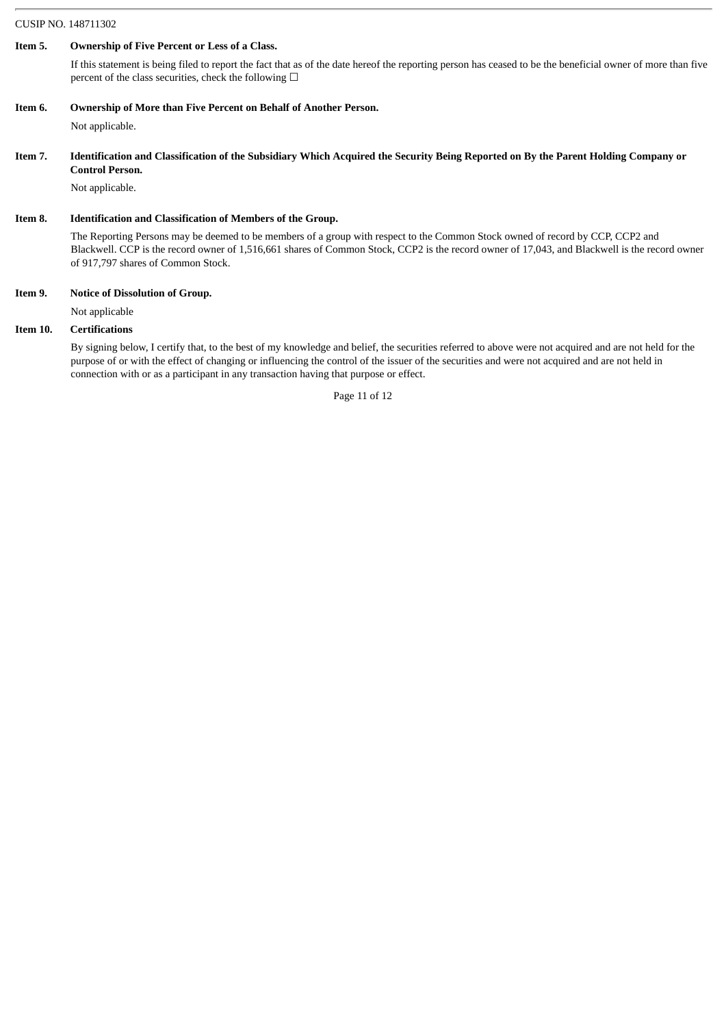#### **Item 5. Ownership of Five Percent or Less of a Class.**

If this statement is being filed to report the fact that as of the date hereof the reporting person has ceased to be the beneficial owner of more than five percent of the class securities, check the following  $\Box$ 

**Item 6. Ownership of More than Five Percent on Behalf of Another Person.**

Not applicable.

**Item 7. Identification and Classification of the Subsidiary Which Acquired the Security Being Reported on By the Parent Holding Company or Control Person.**

Not applicable.

#### **Item 8. Identification and Classification of Members of the Group.**

The Reporting Persons may be deemed to be members of a group with respect to the Common Stock owned of record by CCP, CCP2 and Blackwell. CCP is the record owner of 1,516,661 shares of Common Stock, CCP2 is the record owner of 17,043, and Blackwell is the record owner of 917,797 shares of Common Stock.

#### **Item 9. Notice of Dissolution of Group.**

Not applicable

#### **Item 10. Certifications**

By signing below, I certify that, to the best of my knowledge and belief, the securities referred to above were not acquired and are not held for the purpose of or with the effect of changing or influencing the control of the issuer of the securities and were not acquired and are not held in connection with or as a participant in any transaction having that purpose or effect.

Page 11 of 12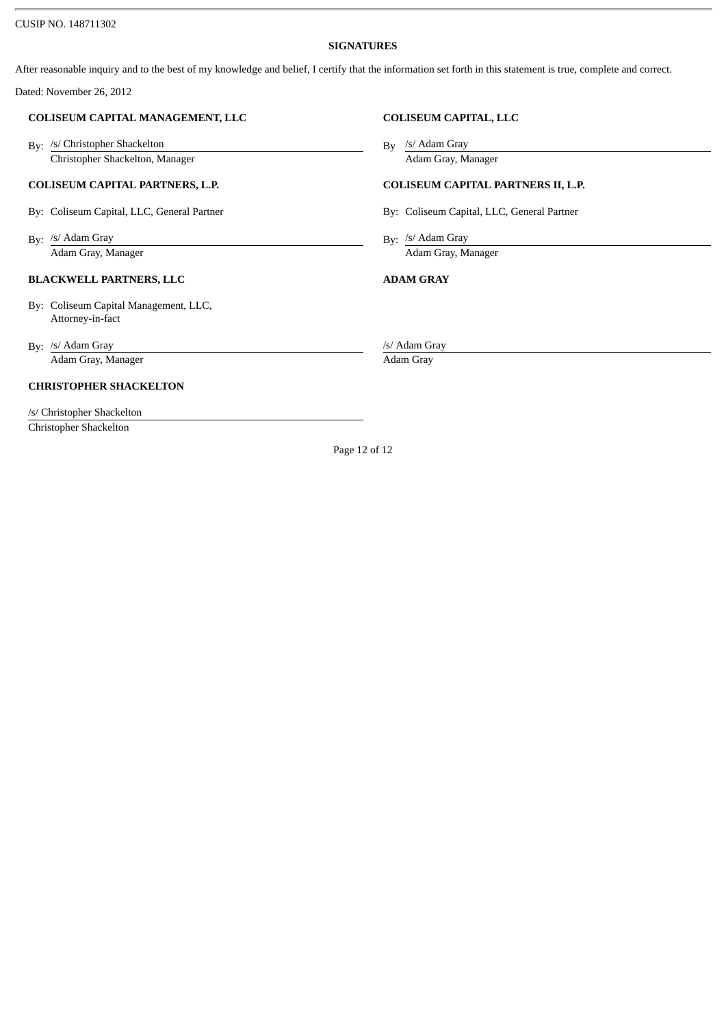#### **SIGNATURES**

After reasonable inquiry and to the best of my knowledge and belief, I certify that the information set forth in this statement is true, complete and correct.

Dated: November 26, 2012

#### **COLISEUM CAPITAL MANAGEMENT, LLC COLISEUM CAPITAL, LLC**

By: /s/ Christopher Shackelton By: /s/ Christopher Shackelton By Christopher Shackelton, Manager **Adam Gray, Manager** Adam Gray, Manager

#### **COLISEUM CAPITAL PARTNERS, L.P. COLISEUM CAPITAL PARTNERS II, L.P.**

By: Coliseum Capital, LLC, General Partner **By: Coliseum Capital, LLC, General Partner** 

By:  $/$ s/ Adam Gray By:

### **BLACKWELL PARTNERS, LLC ADAM GRAY**

 By: Coliseum Capital Management, LLC, Attorney-in-fact

By: /s/ Adam Gray Adam Gray, Manager **Adam Gray** 

### **CHRISTOPHER SHACKELTON**

/s/ Christopher Shackelton Christopher Shackelton

By /s/ Adam Gray

By: /s/ Adam Gray Adam Gray, Manager **Adam Gray, Manager** Adam Gray, Manager

/s/ Adam Gray

Page 12 of 12